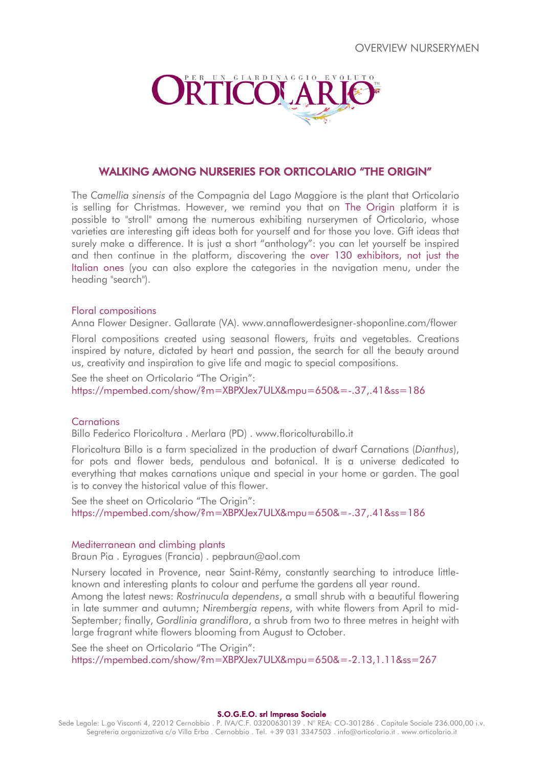

# WALKING AMONG NURSERIES FOR ORTICOLARIO "THE ORIGIN"

The *Camellia sinensis* of the Compagnia del Lago Maggiore is the plant that Orticolario is selling for Christmas. However, we remind you that on The Origin platform it is possible to "stroll" among the numerous exhibiting nurserymen of Orticolario, whose varieties are interesting gift ideas both for yourself and for those you love. Gift ideas that surely make a difference. It is just a short "anthology": you can let yourself be inspired and then continue in the platform, discovering the over 130 exhibitors, not just the Italian ones (you can also explore the categories in the navigation menu, under the heading "search").

# Floral compositions

Anna Flower Designer. Gallarate (VA). www.annaflowerdesigner-shoponline.com/flower

Floral compositions created using seasonal flowers, fruits and vegetables. Creations inspired by nature, dictated by heart and passion, the search for all the beauty around us, creativity and inspiration to give life and magic to special compositions.

See the sheet on Orticolario "The Origin": https://mpembed.com/show/?m=XBPXJex7ULX&mpu=650&=-.37,.41&ss=186

# **Carnations**

Billo Federico Floricoltura . Merlara (PD) . www.floricolturabillo.it

Floricoltura Billo is a farm specialized in the production of dwarf Carnations (*Dianthus*), for pots and flower beds, pendulous and botanical. It is a universe dedicated to everything that makes carnations unique and special in your home or garden. The goal is to convey the historical value of this flower.

See the sheet on Orticolario "The Origin": https://mpembed.com/show/?m=XBPXJex7ULX&mpu=650&=-.37,.41&ss=186

#### Mediterranean and climbing plants

Braun Pia . Eyragues (Francia) . pepbraun@aol.com

Nursery located in Provence, near Saint-Rémy, constantly searching to introduce littleknown and interesting plants to colour and perfume the gardens all year round.

Among the latest news: *Rostrinucula dependens*, a small shrub with a beautiful flowering in late summer and autumn; *Nirembergia repens*, with white flowers from April to mid-September; finally, *Gordlinia grandiflora*, a shrub from two to three metres in height with large fragrant white flowers blooming from August to October.

See the sheet on Orticolario "The Origin": https://mpembed.com/show/?m=XBPXJex7ULX&mpu=650&=-2.13,1.11&ss=267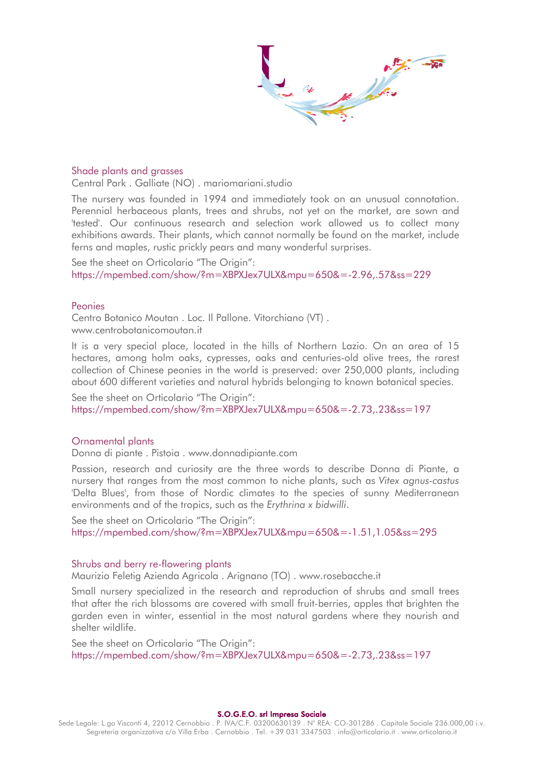#### Shade plants and grasses

Central Park . Galliate (NO) . mariomariani.studio

The nursery was founded in 1994 and immediately took on an unusual connotation. Perennial herbaceous plants, trees and shrubs, not yet on the market, are sown and 'tested'. Our continuous research and selection work allowed us to collect many exhibitions awards. Their plants, which cannot normally be found on the market, include ferns and maples, rustic prickly pears and many wonderful surprises.

See the sheet on Orticolario "The Origin": https://mpembed.com/show/?m=XBPXJex7ULX&mpu=650&=-2.96,.57&ss=229

#### Peonies

Centro Botanico Moutan . Loc. Il Pallone. Vitorchiano (VT) . www.centrobotanicomoutan.it

It is a very special place, located in the hills of Northern Lazio. On an area of 15 hectares, among holm oaks, cypresses, oaks and centuries-old olive trees, the rarest collection of Chinese peonies in the world is preserved: over 250,000 plants, including about 600 different varieties and natural hybrids belonging to known botanical species.

See the sheet on Orticolario "The Origin": https://mpembed.com/show/?m=XBPXJex7ULX&mpu=650&=-2.73,.23&ss=197

# Ornamental plants

Donna di piante . Pistoia . www.donnadipiante.com

Passion, research and curiosity are the three words to describe Donna di Piante, a nursery that ranges from the most common to niche plants, such as *Vitex agnus-castus* 'Delta Blues', from those of Nordic climates to the species of sunny Mediterranean environments and of the tropics, such as the *Erythrina x bidwilli*.

See the sheet on Orticolario "The Origin": https://mpembed.com/show/?m=XBPXJex7ULX&mpu=650&=-1.51,1.05&ss=295

# Shrubs and berry re-flowering plants

Maurizio Feletig Azienda Agricola . Arignano (TO) . www.rosebacche.it

Small nursery specialized in the research and reproduction of shrubs and small trees that after the rich blossoms are covered with small fruit-berries, apples that brighten the garden even in winter, essential in the most natural gardens where they nourish and shelter wildlife.

See the sheet on Orticolario "The Origin": https://mpembed.com/show/?m=XBPXJex7ULX&mpu=650&=-2.73,.23&ss=197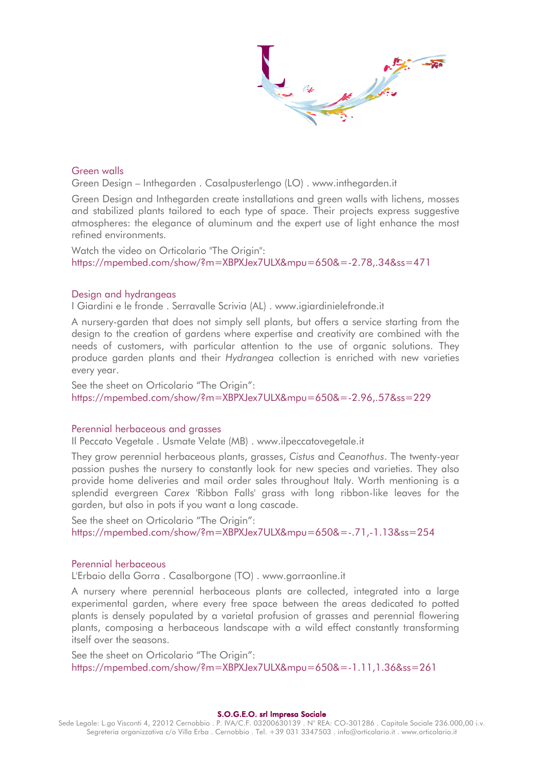# Green walls

Green Design – Inthegarden . Casalpusterlengo (LO) . www.inthegarden.it

Green Design and Inthegarden create installations and green walls with lichens, mosses and stabilized plants tailored to each type of space. Their projects express suggestive atmospheres: the elegance of aluminum and the expert use of light enhance the most refined environments.

Watch the video on Orticolario "The Origin": https://mpembed.com/show/?m=XBPXJex7ULX&mpu=650&=-2.78,.34&ss=471

# Design and hydrangeas

I Giardini e le fronde . Serravalle Scrivia (AL) . www.igiardinielefronde.it

A nursery-garden that does not simply sell plants, but offers a service starting from the design to the creation of gardens where expertise and creativity are combined with the needs of customers, with particular attention to the use of organic solutions. They produce garden plants and their *Hydrangea* collection is enriched with new varieties every year.

See the sheet on Orticolario "The Origin": https://mpembed.com/show/?m=XBPXJex7ULX&mpu=650&=-2.96,.57&ss=229

#### Perennial herbaceous and grasses

Il Peccato Vegetale . Usmate Velate (MB) . www.ilpeccatovegetale.it

They grow perennial herbaceous plants, grasses, *Cistus* and *Ceanothus*. The twenty-year passion pushes the nursery to constantly look for new species and varieties. They also provide home deliveries and mail order sales throughout Italy. Worth mentioning is a splendid evergreen *Carex* 'Ribbon Falls' grass with long ribbon-like leaves for the garden, but also in pots if you want a long cascade.

See the sheet on Orticolario "The Origin": https://mpembed.com/show/?m=XBPXJex7ULX&mpu=650&=-.71,-1.13&ss=254

#### Perennial herbaceous

L'Erbaio della Gorra . Casalborgone (TO) . www.gorraonline.it

A nursery where perennial herbaceous plants are collected, integrated into a large experimental garden, where every free space between the areas dedicated to potted plants is densely populated by a varietal profusion of grasses and perennial flowering plants, composing a herbaceous landscape with a wild effect constantly transforming itself over the seasons.

See the sheet on Orticolario "The Origin": https://mpembed.com/show/?m=XBPXJex7ULX&mpu=650&=-1.11,1.36&ss=261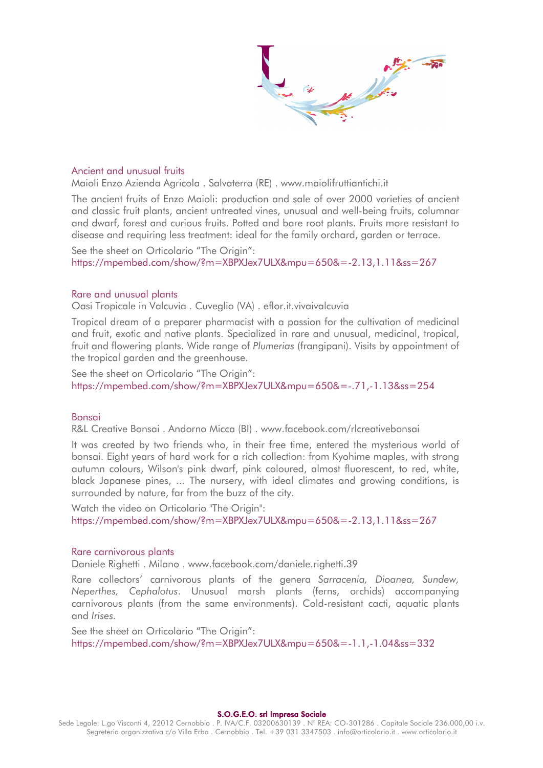$\frac{1}{2}$ 

#### Ancient and unusual fruits

Maioli Enzo Azienda Agricola . Salvaterra (RE) . www.maiolifruttiantichi.it

The ancient fruits of Enzo Maioli: production and sale of over 2000 varieties of ancient and classic fruit plants, ancient untreated vines, unusual and well-being fruits, columnar and dwarf, forest and curious fruits. Potted and bare root plants. Fruits more resistant to disease and requiring less treatment: ideal for the family orchard, garden or terrace.

See the sheet on Orticolario "The Origin": https://mpembed.com/show/?m=XBPXJex7ULX&mpu=650&=-2.13,1.11&ss=267

#### Rare and unusual plants

Oasi Tropicale in Valcuvia . Cuveglio (VA) . eflor.it.vivaivalcuvia

Tropical dream of a preparer pharmacist with a passion for the cultivation of medicinal and fruit, exotic and native plants. Specialized in rare and unusual, medicinal, tropical, fruit and flowering plants. Wide range of *Plumerias* (frangipani). Visits by appointment of the tropical garden and the greenhouse.

See the sheet on Orticolario "The Origin": https://mpembed.com/show/?m=XBPXJex7ULX&mpu=650&=-.71,-1.13&ss=254

# Bonsai

R&L Creative Bonsai . Andorno Micca (BI) . www.facebook.com/rlcreativebonsai

It was created by two friends who, in their free time, entered the mysterious world of bonsai. Eight years of hard work for a rich collection: from Kyohime maples, with strong autumn colours, Wilson's pink dwarf, pink coloured, almost fluorescent, to red, white, black Japanese pines, ... The nursery, with ideal climates and growing conditions, is surrounded by nature, far from the buzz of the city.

Watch the video on Orticolario "The Origin": https://mpembed.com/show/?m=XBPXJex7ULX&mpu=650&=-2.13,1.11&ss=267

#### Rare carnivorous plants

Daniele Righetti . Milano . www.facebook.com/daniele.righetti.39

Rare collectors' carnivorous plants of the genera *Sarracenia, Dioanea, Sundew, Neperthes, Cephalotus*. Unusual marsh plants (ferns, orchids) accompanying carnivorous plants (from the same environments). Cold-resistant cacti, aquatic plants and *Irises.*

See the sheet on Orticolario "The Origin": https://mpembed.com/show/?m=XBPXJex7ULX&mpu=650&=-1.1,-1.04&ss=332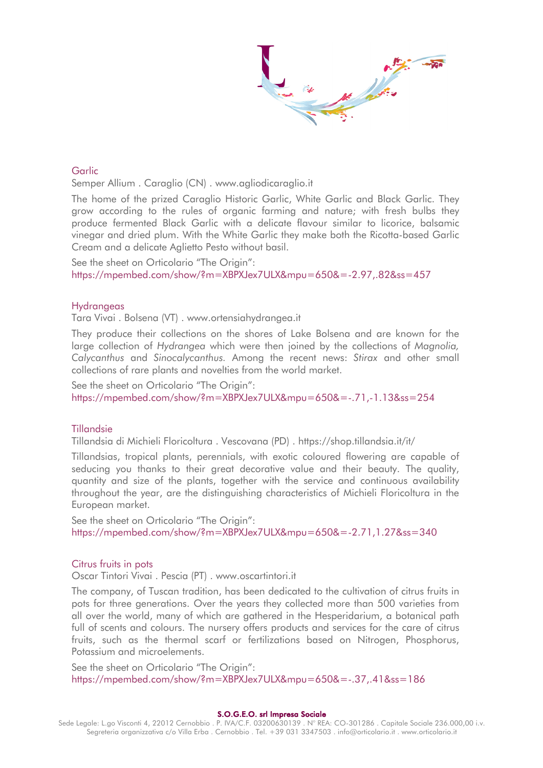# Garlic

Semper Allium . Caraglio (CN) . www.agliodicaraglio.it

The home of the prized Caraglio Historic Garlic, White Garlic and Black Garlic. They grow according to the rules of organic farming and nature; with fresh bulbs they produce fermented Black Garlic with a delicate flavour similar to licorice, balsamic vinegar and dried plum. With the White Garlic they make both the Ricotta-based Garlic Cream and a delicate Aglietto Pesto without basil.

See the sheet on Orticolario "The Origin": https://mpembed.com/show/?m=XBPXJex7ULX&mpu=650&=-2.97,.82&ss=457

#### **Hydrangeas**

Tara Vivai . Bolsena (VT) . www.ortensiahydrangea.it

They produce their collections on the shores of Lake Bolsena and are known for the large collection of *Hydrangea* which were then joined by the collections of *Magnolia, Calycanthus* and *Sinocalycanthus.* Among the recent news: *Stirax* and other small collections of rare plants and novelties from the world market.

See the sheet on Orticolario "The Origin": https://mpembed.com/show/?m=XBPXJex7ULX&mpu=650&=-.71,-1.13&ss=254

#### Tillandsie

Tillandsia di Michieli Floricoltura . Vescovana (PD) . https://shop.tillandsia.it/it/

Tillandsias, tropical plants, perennials, with exotic coloured flowering are capable of seducing you thanks to their great decorative value and their beauty. The quality, quantity and size of the plants, together with the service and continuous availability throughout the year, are the distinguishing characteristics of Michieli Floricoltura in the European market.

See the sheet on Orticolario "The Origin": https://mpembed.com/show/?m=XBPXJex7ULX&mpu=650&=-2.71,1.27&ss=340

#### Citrus fruits in pots

Oscar Tintori Vivai . Pescia (PT) . www.oscartintori.it

The company, of Tuscan tradition, has been dedicated to the cultivation of citrus fruits in pots for three generations. Over the years they collected more than 500 varieties from all over the world, many of which are gathered in the Hesperidarium, a botanical path full of scents and colours. The nursery offers products and services for the care of citrus fruits, such as the thermal scarf or fertilizations based on Nitrogen, Phosphorus, Potassium and microelements.

See the sheet on Orticolario "The Origin": https://mpembed.com/show/?m=XBPXJex7ULX&mpu=650&=-.37,.41&ss=186